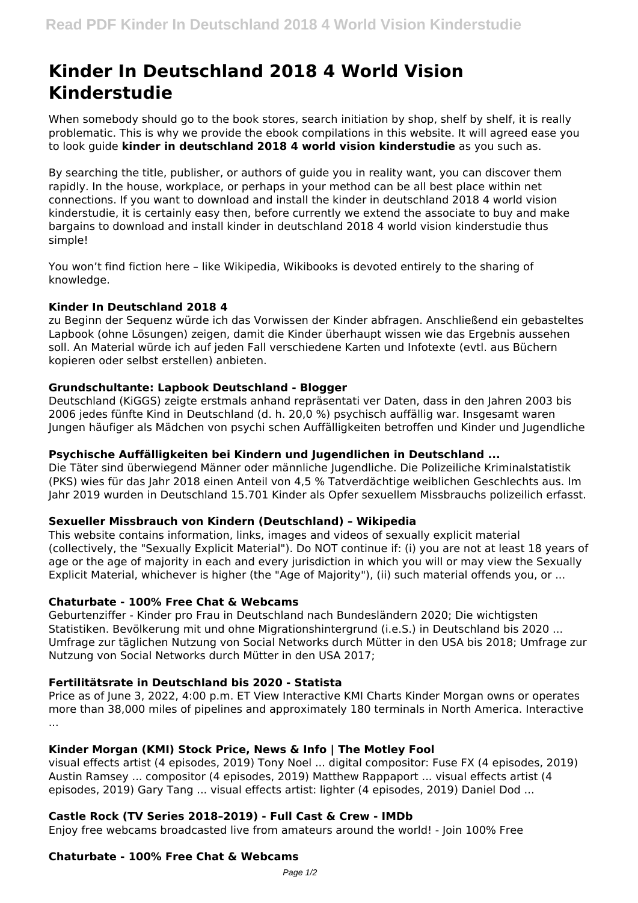# **Kinder In Deutschland 2018 4 World Vision Kinderstudie**

When somebody should go to the book stores, search initiation by shop, shelf by shelf, it is really problematic. This is why we provide the ebook compilations in this website. It will agreed ease you to look guide **kinder in deutschland 2018 4 world vision kinderstudie** as you such as.

By searching the title, publisher, or authors of guide you in reality want, you can discover them rapidly. In the house, workplace, or perhaps in your method can be all best place within net connections. If you want to download and install the kinder in deutschland 2018 4 world vision kinderstudie, it is certainly easy then, before currently we extend the associate to buy and make bargains to download and install kinder in deutschland 2018 4 world vision kinderstudie thus simple!

You won't find fiction here – like Wikipedia, Wikibooks is devoted entirely to the sharing of knowledge.

## **Kinder In Deutschland 2018 4**

zu Beginn der Sequenz würde ich das Vorwissen der Kinder abfragen. Anschließend ein gebasteltes Lapbook (ohne Lösungen) zeigen, damit die Kinder überhaupt wissen wie das Ergebnis aussehen soll. An Material würde ich auf jeden Fall verschiedene Karten und Infotexte (evtl. aus Büchern kopieren oder selbst erstellen) anbieten.

#### **Grundschultante: Lapbook Deutschland - Blogger**

Deutschland (KiGGS) zeigte erstmals anhand repräsentati ver Daten, dass in den Jahren 2003 bis 2006 jedes fünfte Kind in Deutschland (d. h. 20,0 %) psychisch auffällig war. Insgesamt waren Jungen häufiger als Mädchen von psychi schen Auffälligkeiten betroffen und Kinder und Jugendliche

#### **Psychische Auffälligkeiten bei Kindern und Jugendlichen in Deutschland ...**

Die Täter sind überwiegend Männer oder männliche Jugendliche. Die Polizeiliche Kriminalstatistik (PKS) wies für das Jahr 2018 einen Anteil von 4,5 % Tatverdächtige weiblichen Geschlechts aus. Im Jahr 2019 wurden in Deutschland 15.701 Kinder als Opfer sexuellem Missbrauchs polizeilich erfasst.

## **Sexueller Missbrauch von Kindern (Deutschland) – Wikipedia**

This website contains information, links, images and videos of sexually explicit material (collectively, the "Sexually Explicit Material"). Do NOT continue if: (i) you are not at least 18 years of age or the age of majority in each and every jurisdiction in which you will or may view the Sexually Explicit Material, whichever is higher (the "Age of Majority"), (ii) such material offends you, or ...

## **Chaturbate - 100% Free Chat & Webcams**

Geburtenziffer - Kinder pro Frau in Deutschland nach Bundesländern 2020; Die wichtigsten Statistiken. Bevölkerung mit und ohne Migrationshintergrund (i.e.S.) in Deutschland bis 2020 ... Umfrage zur täglichen Nutzung von Social Networks durch Mütter in den USA bis 2018; Umfrage zur Nutzung von Social Networks durch Mütter in den USA 2017;

## **Fertilitätsrate in Deutschland bis 2020 - Statista**

Price as of June 3, 2022, 4:00 p.m. ET View Interactive KMI Charts Kinder Morgan owns or operates more than 38,000 miles of pipelines and approximately 180 terminals in North America. Interactive ...

## **Kinder Morgan (KMI) Stock Price, News & Info | The Motley Fool**

visual effects artist (4 episodes, 2019) Tony Noel ... digital compositor: Fuse FX (4 episodes, 2019) Austin Ramsey ... compositor (4 episodes, 2019) Matthew Rappaport ... visual effects artist (4 episodes, 2019) Gary Tang ... visual effects artist: lighter (4 episodes, 2019) Daniel Dod ...

## **Castle Rock (TV Series 2018–2019) - Full Cast & Crew - IMDb**

Enjoy free webcams broadcasted live from amateurs around the world! - Join 100% Free

## **Chaturbate - 100% Free Chat & Webcams**